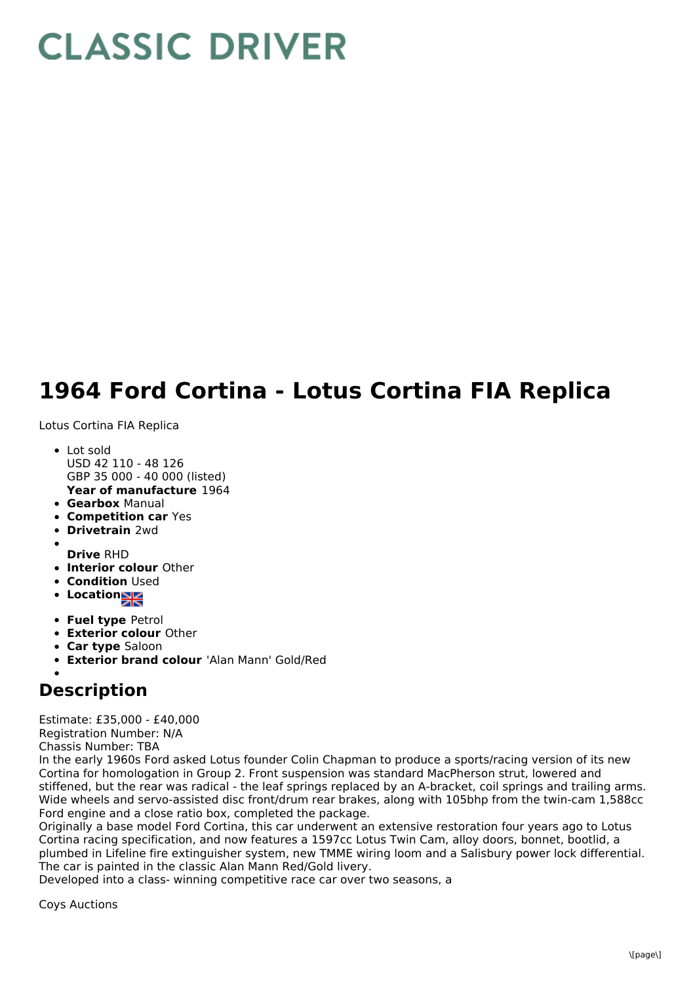## **CLASSIC DRIVER**

## **1964 Ford Cortina - Lotus Cortina FIA Replica**

Lotus Cortina FIA Replica

- **Year of manufacture** 1964 Lot sold USD 42 110 - 48 126 GBP 35 000 - 40 000 (listed)
- **Gearbox** Manual
- **Competition car** Yes
- **Drivetrain** 2wd
- 
- **Drive** RHD
- **Interior colour** Other
- **Condition Used**
- **Location**
- **Fuel type** Petrol
- **Exterior colour** Other
- **Car type** Saloon
- **Exterior brand colour** 'Alan Mann' Gold/Red

## **Description**

Estimate: £35,000 - £40,000 Registration Number: N/A Chassis Number: TBA

In the early 1960s Ford asked Lotus founder Colin Chapman to produce a sports/racing version of its new Cortina for homologation in Group 2. Front suspension was standard MacPherson strut, lowered and stiffened, but the rear was radical - the leaf springs replaced by an A-bracket, coil springs and trailing arms. Wide wheels and servo-assisted disc front/drum rear brakes, along with 105bhp from the twin-cam 1,588cc Ford engine and a close ratio box, completed the package.

Originally a base model Ford Cortina, this car underwent an extensive restoration four years ago to Lotus Cortina racing specification, and now features a 1597cc Lotus Twin Cam, alloy doors, bonnet, bootlid, a plumbed in Lifeline fire extinguisher system, new TMME wiring loom and a Salisbury power lock differential. The car is painted in the classic Alan Mann Red/Gold livery.

Developed into a class- winning competitive race car over two seasons, a

Coys Auctions